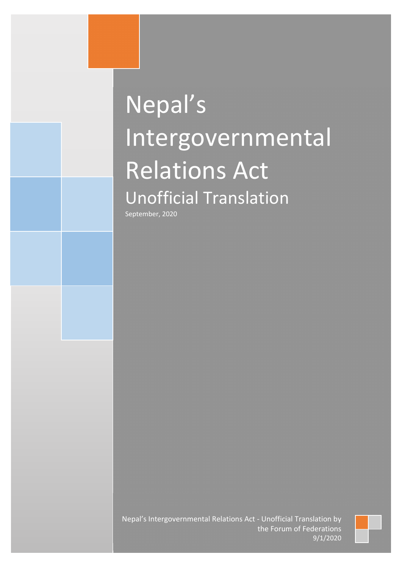# Nepal's Intergovernmental Relations Act Unofficial Translation

September, 2020

Nepal's Intergovernmental Relations Act - Unofficial Translation by the Forum of Federations 9/1/2020

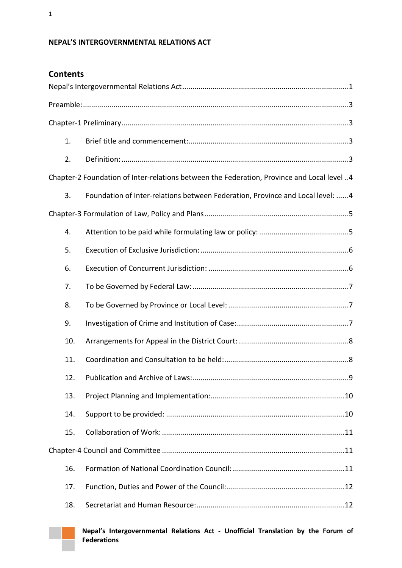# <span id="page-1-0"></span>**NEPAL'S INTERGOVERNMENTAL RELATIONS ACT**

| 1.  |                                                                                           |  |  |
|-----|-------------------------------------------------------------------------------------------|--|--|
| 2.  |                                                                                           |  |  |
|     | Chapter-2 Foundation of Inter-relations between the Federation, Province and Local level4 |  |  |
| 3.  | Foundation of Inter-relations between Federation, Province and Local level:  4            |  |  |
|     |                                                                                           |  |  |
| 4.  |                                                                                           |  |  |
| 5.  |                                                                                           |  |  |
| 6.  |                                                                                           |  |  |
| 7.  |                                                                                           |  |  |
| 8.  |                                                                                           |  |  |
| 9.  |                                                                                           |  |  |
| 10. |                                                                                           |  |  |
| 11. |                                                                                           |  |  |
| 12. |                                                                                           |  |  |
| 13. |                                                                                           |  |  |
| 14. |                                                                                           |  |  |
| 15. |                                                                                           |  |  |
|     |                                                                                           |  |  |
| 16. |                                                                                           |  |  |
| 17. |                                                                                           |  |  |
| 18. |                                                                                           |  |  |



**Nepal's Intergovernmental Relations Act - Unofficial Translation by the Forum of Federations**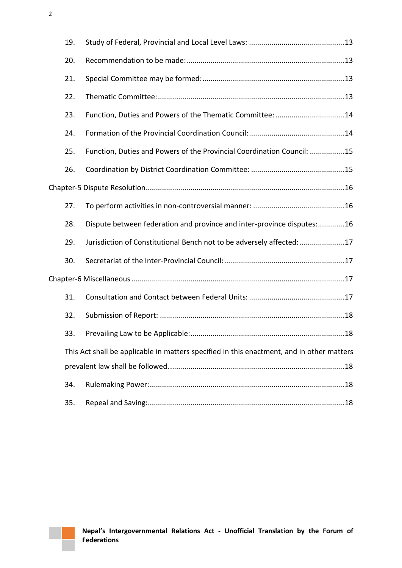|  | 19. |                                                                                           |  |
|--|-----|-------------------------------------------------------------------------------------------|--|
|  | 20. |                                                                                           |  |
|  | 21. |                                                                                           |  |
|  | 22. |                                                                                           |  |
|  | 23. | Function, Duties and Powers of the Thematic Committee: 14                                 |  |
|  | 24. |                                                                                           |  |
|  | 25. | Function, Duties and Powers of the Provincial Coordination Council: 15                    |  |
|  | 26. |                                                                                           |  |
|  |     |                                                                                           |  |
|  | 27. |                                                                                           |  |
|  | 28. | Dispute between federation and province and inter-province disputes:16                    |  |
|  | 29. | Jurisdiction of Constitutional Bench not to be adversely affected: 17                     |  |
|  | 30. |                                                                                           |  |
|  |     |                                                                                           |  |
|  | 31. |                                                                                           |  |
|  | 32. |                                                                                           |  |
|  | 33. |                                                                                           |  |
|  |     | This Act shall be applicable in matters specified in this enactment, and in other matters |  |
|  |     |                                                                                           |  |
|  | 34. |                                                                                           |  |
|  | 35. |                                                                                           |  |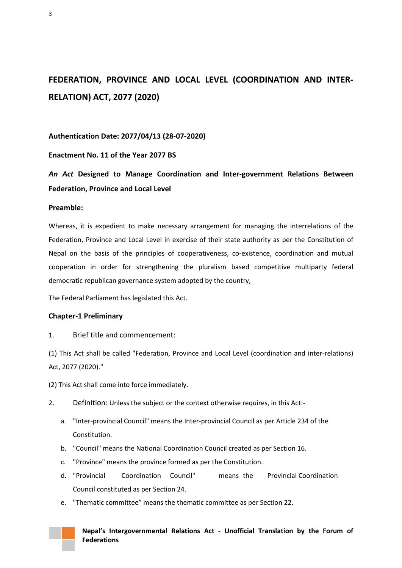# **FEDERATION, PROVINCE AND LOCAL LEVEL (COORDINATION AND INTER-RELATION) ACT, 2077 (2020)**

**Authentication Date: 2077/04/13 (28-07-2020)**

**Enactment No. 11 of the Year 2077 BS** 

*An Act* **Designed to Manage Coordination and Inter-government Relations Between Federation, Province and Local Level**

#### <span id="page-3-0"></span>**Preamble:**

Whereas, it is expedient to make necessary arrangement for managing the interrelations of the Federation, Province and Local Level in exercise of their state authority as per the Constitution of Nepal on the basis of the principles of cooperativeness, co-existence, coordination and mutual cooperation in order for strengthening the pluralism based competitive multiparty federal democratic republican governance system adopted by the country,

The Federal Parliament has legislated this Act.

#### <span id="page-3-1"></span>**Chapter-1 Preliminary**

#### <span id="page-3-2"></span>1. Brief title and commencement:

(1) This Act shall be called "Federation, Province and Local Level (coordination and inter-relations) Act, 2077 (2020)."

(2) This Act shall come into force immediately.

- <span id="page-3-3"></span>2. Definition: Unless the subject or the context otherwise requires, in this Act:
	- a. "Inter-provincial Council" means the Inter-provincial Council as per Article 234 of the **Constitution**
	- b. "Council" means the National Coordination Council created as per Section 16.
	- c. "Province" means the province formed as per the Constitution.
	- d. "Provincial Coordination Council" means the Provincial Coordination Council constituted as per Section 24.
	- e. "Thematic committee" means the thematic committee as per Section 22.

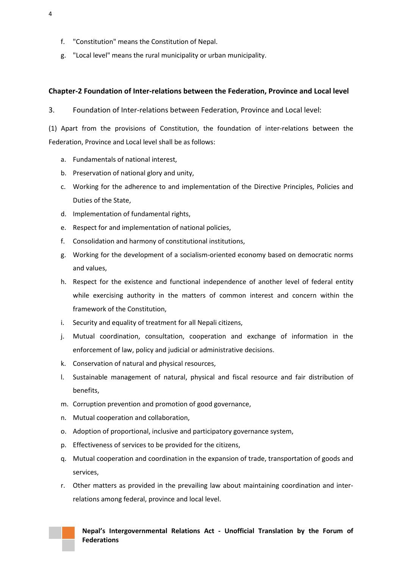- f. "Constitution" means the Constitution of Nepal.
- g. "Local level" means the rural municipality or urban municipality.

### <span id="page-4-0"></span>**Chapter-2 Foundation of Inter-relations between the Federation, Province and Local level**

<span id="page-4-1"></span>3. Foundation of Inter-relations between Federation, Province and Local level:

(1) Apart from the provisions of Constitution, the foundation of inter-relations between the Federation, Province and Local level shall be as follows:

- a. Fundamentals of national interest,
- b. Preservation of national glory and unity,
- c. Working for the adherence to and implementation of the Directive Principles, Policies and Duties of the State,
- d. Implementation of fundamental rights,
- e. Respect for and implementation of national policies,
- f. Consolidation and harmony of constitutional institutions,
- g. Working for the development of a socialism-oriented economy based on democratic norms and values,
- h. Respect for the existence and functional independence of another level of federal entity while exercising authority in the matters of common interest and concern within the framework of the Constitution,
- i. Security and equality of treatment for all Nepali citizens,
- j. Mutual coordination, consultation, cooperation and exchange of information in the enforcement of law, policy and judicial or administrative decisions.
- k. Conservation of natural and physical resources,
- l. Sustainable management of natural, physical and fiscal resource and fair distribution of benefits,
- m. Corruption prevention and promotion of good governance,
- n. Mutual cooperation and collaboration,
- o. Adoption of proportional, inclusive and participatory governance system,
- p. Effectiveness of services to be provided for the citizens,
- q. Mutual cooperation and coordination in the expansion of trade, transportation of goods and services,
- r. Other matters as provided in the prevailing law about maintaining coordination and interrelations among federal, province and local level.

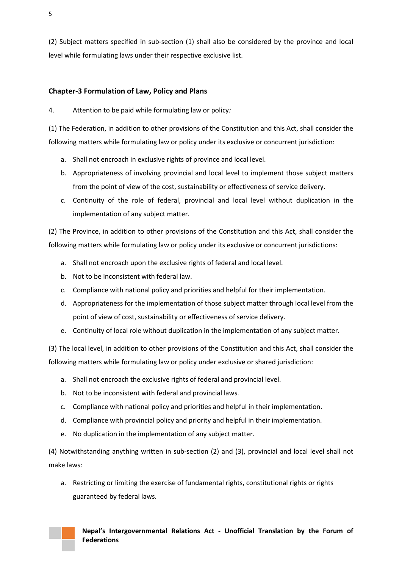(2) Subject matters specified in sub-section (1) shall also be considered by the province and local level while formulating laws under their respective exclusive list.

## <span id="page-5-0"></span>**Chapter-3 Formulation of Law, Policy and Plans**

<span id="page-5-1"></span>4. Attention to be paid while formulating law or policy*:* 

(1) The Federation, in addition to other provisions of the Constitution and this Act, shall consider the following matters while formulating law or policy under its exclusive or concurrent jurisdiction:

- a. Shall not encroach in exclusive rights of province and local level.
- b. Appropriateness of involving provincial and local level to implement those subject matters from the point of view of the cost, sustainability or effectiveness of service delivery.
- c. Continuity of the role of federal, provincial and local level without duplication in the implementation of any subject matter.

(2) The Province, in addition to other provisions of the Constitution and this Act, shall consider the following matters while formulating law or policy under its exclusive or concurrent jurisdictions:

- a. Shall not encroach upon the exclusive rights of federal and local level.
- b. Not to be inconsistent with federal law.
- c. Compliance with national policy and priorities and helpful for their implementation.
- d. Appropriateness for the implementation of those subject matter through local level from the point of view of cost, sustainability or effectiveness of service delivery.
- e. Continuity of local role without duplication in the implementation of any subject matter.

(3) The local level, in addition to other provisions of the Constitution and this Act, shall consider the following matters while formulating law or policy under exclusive or shared jurisdiction:

- a. Shall not encroach the exclusive rights of federal and provincial level.
- b. Not to be inconsistent with federal and provincial laws.
- c. Compliance with national policy and priorities and helpful in their implementation.
- d. Compliance with provincial policy and priority and helpful in their implementation.
- e. No duplication in the implementation of any subject matter.

(4) Notwithstanding anything written in sub-section (2) and (3), provincial and local level shall not make laws:

a. Restricting or limiting the exercise of fundamental rights, constitutional rights or rights guaranteed by federal laws.

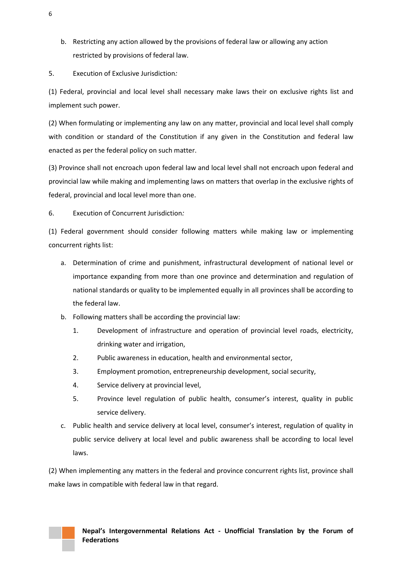b. Restricting any action allowed by the provisions of federal law or allowing any action restricted by provisions of federal law.

<span id="page-6-0"></span>5. Execution of Exclusive Jurisdiction*:* 

(1) Federal, provincial and local level shall necessary make laws their on exclusive rights list and implement such power.

(2) When formulating or implementing any law on any matter, provincial and local level shall comply with condition or standard of the Constitution if any given in the Constitution and federal law enacted as per the federal policy on such matter.

(3) Province shall not encroach upon federal law and local level shall not encroach upon federal and provincial law while making and implementing laws on matters that overlap in the exclusive rights of federal, provincial and local level more than one.

<span id="page-6-1"></span>6. Execution of Concurrent Jurisdiction*:* 

(1) Federal government should consider following matters while making law or implementing concurrent rights list:

- a. Determination of crime and punishment, infrastructural development of national level or importance expanding from more than one province and determination and regulation of national standards or quality to be implemented equally in all provinces shall be according to the federal law.
- b. Following matters shall be according the provincial law:
	- 1. Development of infrastructure and operation of provincial level roads, electricity, drinking water and irrigation,
	- 2. Public awareness in education, health and environmental sector,
	- 3. Employment promotion, entrepreneurship development, social security,
	- 4. Service delivery at provincial level,
	- 5. Province level regulation of public health, consumer's interest, quality in public service delivery.
- c. Public health and service delivery at local level, consumer's interest, regulation of quality in public service delivery at local level and public awareness shall be according to local level laws.

(2) When implementing any matters in the federal and province concurrent rights list, province shall make laws in compatible with federal law in that regard.

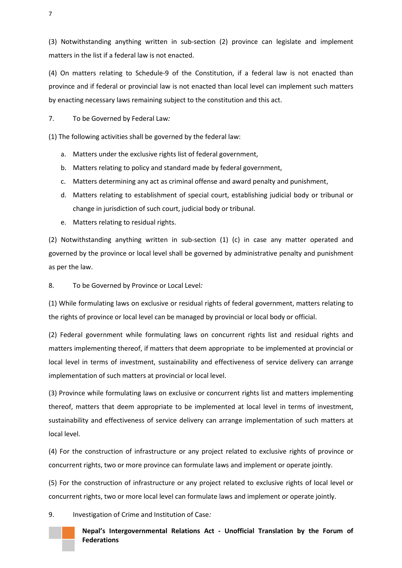(3) Notwithstanding anything written in sub-section (2) province can legislate and implement matters in the list if a federal law is not enacted.

(4) On matters relating to Schedule-9 of the Constitution, if a federal law is not enacted than province and if federal or provincial law is not enacted than local level can implement such matters by enacting necessary laws remaining subject to the constitution and this act.

<span id="page-7-0"></span>7. To be Governed by Federal Law*:* 

(1) The following activities shall be governed by the federal law:

- a. Matters under the exclusive rights list of federal government,
- b. Matters relating to policy and standard made by federal government,
- c. Matters determining any act as criminal offense and award penalty and punishment,
- d. Matters relating to establishment of special court, establishing judicial body or tribunal or change in jurisdiction of such court, judicial body or tribunal.
- e. Matters relating to residual rights.

(2) Notwithstanding anything written in sub-section (1) (c) in case any matter operated and governed by the province or local level shall be governed by administrative penalty and punishment as per the law.

<span id="page-7-1"></span>8. To be Governed by Province or Local Level*:* 

(1) While formulating laws on exclusive or residual rights of federal government, matters relating to the rights of province or local level can be managed by provincial or local body or official.

(2) Federal government while formulating laws on concurrent rights list and residual rights and matters implementing thereof, if matters that deem appropriate to be implemented at provincial or local level in terms of investment, sustainability and effectiveness of service delivery can arrange implementation of such matters at provincial or local level.

(3) Province while formulating laws on exclusive or concurrent rights list and matters implementing thereof, matters that deem appropriate to be implemented at local level in terms of investment, sustainability and effectiveness of service delivery can arrange implementation of such matters at local level.

(4) For the construction of infrastructure or any project related to exclusive rights of province or concurrent rights, two or more province can formulate laws and implement or operate jointly.

(5) For the construction of infrastructure or any project related to exclusive rights of local level or concurrent rights, two or more local level can formulate laws and implement or operate jointly.

<span id="page-7-2"></span>9. Investigation of Crime and Institution of Case*:* 



**Nepal's Intergovernmental Relations Act - Unofficial Translation by the Forum of Federations**

7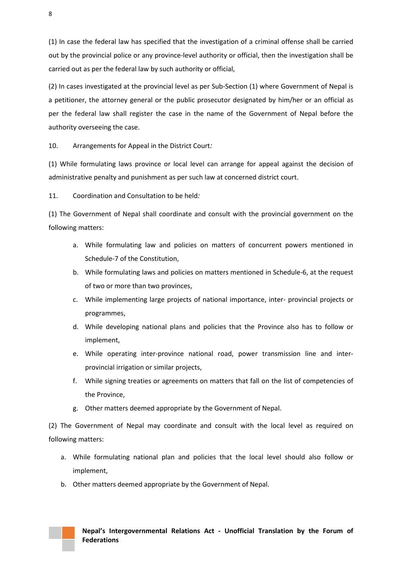(1) In case the federal law has specified that the investigation of a criminal offense shall be carried out by the provincial police or any province-level authority or official, then the investigation shall be carried out as per the federal law by such authority or official,

(2) In cases investigated at the provincial level as per Sub-Section (1) where Government of Nepal is a petitioner, the attorney general or the public prosecutor designated by him/her or an official as per the federal law shall register the case in the name of the Government of Nepal before the authority overseeing the case.

<span id="page-8-0"></span>10. Arrangements for Appeal in the District Court*:* 

(1) While formulating laws province or local level can arrange for appeal against the decision of administrative penalty and punishment as per such law at concerned district court.

<span id="page-8-1"></span>11. Coordination and Consultation to be held*:* 

(1) The Government of Nepal shall coordinate and consult with the provincial government on the following matters:

- a. While formulating law and policies on matters of concurrent powers mentioned in Schedule-7 of the Constitution,
- b. While formulating laws and policies on matters mentioned in Schedule-6, at the request of two or more than two provinces,
- c. While implementing large projects of national importance, inter- provincial projects or programmes,
- d. While developing national plans and policies that the Province also has to follow or implement,
- e. While operating inter-province national road, power transmission line and interprovincial irrigation or similar projects,
- f. While signing treaties or agreements on matters that fall on the list of competencies of the Province,
- g. Other matters deemed appropriate by the Government of Nepal.

(2) The Government of Nepal may coordinate and consult with the local level as required on following matters:

- a. While formulating national plan and policies that the local level should also follow or implement,
- b. Other matters deemed appropriate by the Government of Nepal.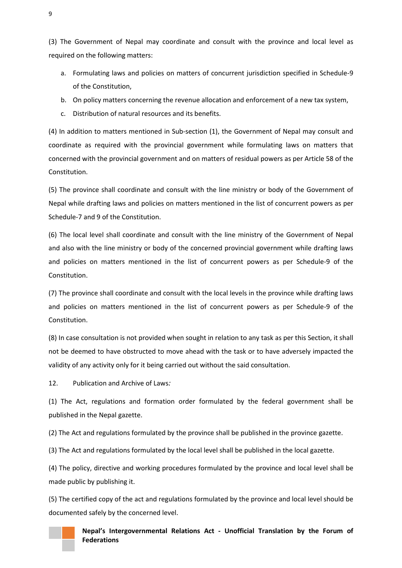(3) The Government of Nepal may coordinate and consult with the province and local level as required on the following matters:

- a. Formulating laws and policies on matters of concurrent jurisdiction specified in Schedule-9 of the Constitution,
- b. On policy matters concerning the revenue allocation and enforcement of a new tax system,
- c. Distribution of natural resources and its benefits.

(4) In addition to matters mentioned in Sub-section (1), the Government of Nepal may consult and coordinate as required with the provincial government while formulating laws on matters that concerned with the provincial government and on matters of residual powers as per Article 58 of the Constitution.

(5) The province shall coordinate and consult with the line ministry or body of the Government of Nepal while drafting laws and policies on matters mentioned in the list of concurrent powers as per Schedule-7 and 9 of the Constitution.

(6) The local level shall coordinate and consult with the line ministry of the Government of Nepal and also with the line ministry or body of the concerned provincial government while drafting laws and policies on matters mentioned in the list of concurrent powers as per Schedule-9 of the Constitution.

(7) The province shall coordinate and consult with the local levels in the province while drafting laws and policies on matters mentioned in the list of concurrent powers as per Schedule-9 of the Constitution.

(8) In case consultation is not provided when sought in relation to any task as per this Section, it shall not be deemed to have obstructed to move ahead with the task or to have adversely impacted the validity of any activity only for it being carried out without the said consultation.

<span id="page-9-0"></span>12. Publication and Archive of Laws*:* 

(1) The Act, regulations and formation order formulated by the federal government shall be published in the Nepal gazette.

(2) The Act and regulations formulated by the province shall be published in the province gazette.

(3) The Act and regulations formulated by the local level shall be published in the local gazette.

(4) The policy, directive and working procedures formulated by the province and local level shall be made public by publishing it.

(5) The certified copy of the act and regulations formulated by the province and local level should be documented safely by the concerned level.



**Nepal's Intergovernmental Relations Act - Unofficial Translation by the Forum of Federations**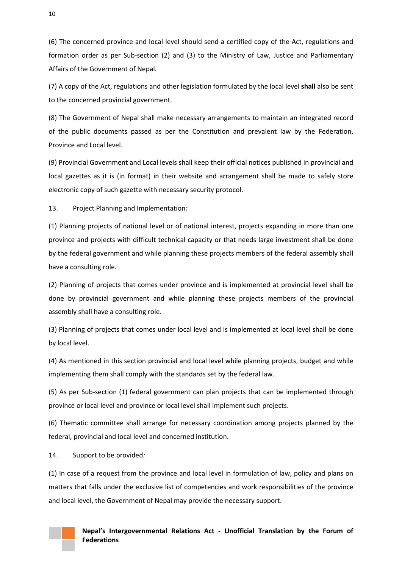(6) The concerned province and local level should send a certified copy of the Act, regulations and formation order as per Sub-section (2) and (3) to the Ministry of Law, Justice and Parliamentary Affairs of the Government of Nepal.

(7) A copy of the Act, regulations and other legislation formulated by the local level **shall** also be sent to the concerned provincial government.

(8) The Government of Nepal shall make necessary arrangements to maintain an integrated record of the public documents passed as per the Constitution and prevalent law by the Federation, Province and Local level.

(9) Provincial Government and Local levels shall keep their official notices published in provincial and local gazettes as it is (in format) in their website and arrangement shall be made to safely store electronic copy of such gazette with necessary security protocol.

<span id="page-10-0"></span>13. Project Planning and Implementation*:* 

(1) Planning projects of national level or of national interest, projects expanding in more than one province and projects with difficult technical capacity or that needs large investment shall be done by the federal government and while planning these projects members of the federal assembly shall have a consulting role.

(2) Planning of projects that comes under province and is implemented at provincial level shall be done by provincial government and while planning these projects members of the provincial assembly shall have a consulting role.

(3) Planning of projects that comes under local level and is implemented at local level shall be done by local level.

(4) As mentioned in this section provincial and local level while planning projects, budget and while implementing them shall comply with the standards set by the federal law.

(5) As per Sub-section (1) federal government can plan projects that can be implemented through province or local level and province or local level shall implement such projects.

(6) Thematic committee shall arrange for necessary coordination among projects planned by the federal, provincial and local level and concerned institution.

<span id="page-10-1"></span>14. Support to be provided*:* 

(1) In case of a request from the province and local level in formulation of law, policy and plans on matters that falls under the exclusive list of competencies and work responsibilities of the province and local level, the Government of Nepal may provide the necessary support.

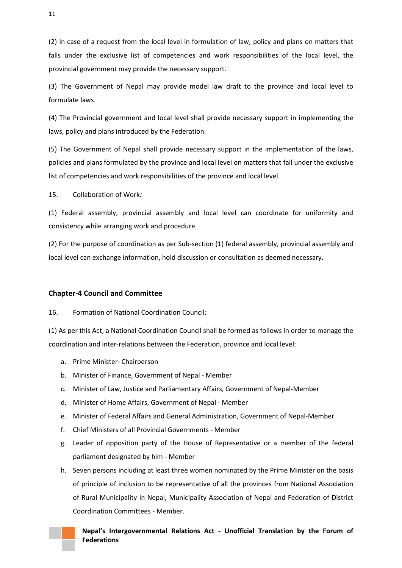(2) In case of a request from the local level in formulation of law, policy and plans on matters that falls under the exclusive list of competencies and work responsibilities of the local level, the provincial government may provide the necessary support.

(3) The Government of Nepal may provide model law draft to the province and local level to formulate laws.

(4) The Provincial government and local level shall provide necessary support in implementing the laws, policy and plans introduced by the Federation.

(5) The Government of Nepal shall provide necessary support in the implementation of the laws, policies and plans formulated by the province and local level on matters that fall under the exclusive list of competencies and work responsibilities of the province and local level.

<span id="page-11-0"></span>15. Collaboration of Work*:*

(1) Federal assembly, provincial assembly and local level can coordinate for uniformity and consistency while arranging work and procedure.

(2) For the purpose of coordination as per Sub-section (1) federal assembly, provincial assembly and local level can exchange information, hold discussion or consultation as deemed necessary.

#### <span id="page-11-1"></span>**Chapter-4 Council and Committee**

<span id="page-11-2"></span>16. Formation of National Coordination Council*:* 

(1) As per this Act, a National Coordination Council shall be formed as follows in order to manage the coordination and inter-relations between the Federation, province and local level:

- a. Prime Minister- Chairperson
- b. Minister of Finance, Government of Nepal Member
- c. Minister of Law, Justice and Parliamentary Affairs, Government of Nepal-Member
- d. Minister of Home Affairs, Government of Nepal Member
- e. Minister of Federal Affairs and General Administration, Government of Nepal-Member
- f. Chief Ministers of all Provincial Governments Member
- g. Leader of opposition party of the House of Representative or a member of the federal parliament designated by him - Member
- h. Seven persons including at least three women nominated by the Prime Minister on the basis of principle of inclusion to be representative of all the provinces from National Association of Rural Municipality in Nepal, Municipality Association of Nepal and Federation of District Coordination Committees - Member.



11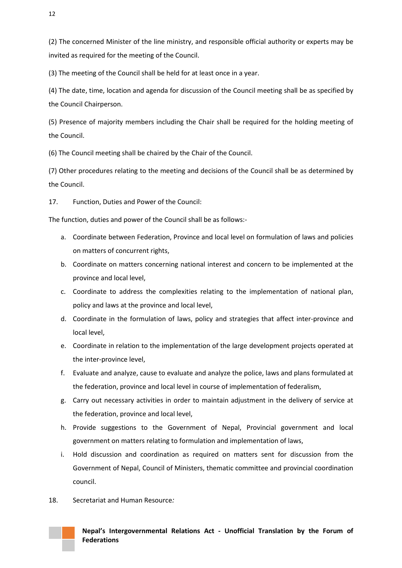(2) The concerned Minister of the line ministry, and responsible official authority or experts may be invited as required for the meeting of the Council.

(3) The meeting of the Council shall be held for at least once in a year.

(4) The date, time, location and agenda for discussion of the Council meeting shall be as specified by the Council Chairperson.

(5) Presence of majority members including the Chair shall be required for the holding meeting of the Council.

(6) The Council meeting shall be chaired by the Chair of the Council.

(7) Other procedures relating to the meeting and decisions of the Council shall be as determined by the Council.

<span id="page-12-0"></span>17. Function, Duties and Power of the Council:

The function, duties and power of the Council shall be as follows:-

- a. Coordinate between Federation, Province and local level on formulation of laws and policies on matters of concurrent rights,
- b. Coordinate on matters concerning national interest and concern to be implemented at the province and local level,
- c. Coordinate to address the complexities relating to the implementation of national plan, policy and laws at the province and local level,
- d. Coordinate in the formulation of laws, policy and strategies that affect inter-province and local level,
- e. Coordinate in relation to the implementation of the large development projects operated at the inter-province level,
- f. Evaluate and analyze, cause to evaluate and analyze the police, laws and plans formulated at the federation, province and local level in course of implementation of federalism,
- g. Carry out necessary activities in order to maintain adjustment in the delivery of service at the federation, province and local level,
- h. Provide suggestions to the Government of Nepal, Provincial government and local government on matters relating to formulation and implementation of laws,
- i. Hold discussion and coordination as required on matters sent for discussion from the Government of Nepal, Council of Ministers, thematic committee and provincial coordination council.
- <span id="page-12-1"></span>18. Secretariat and Human Resource*:*

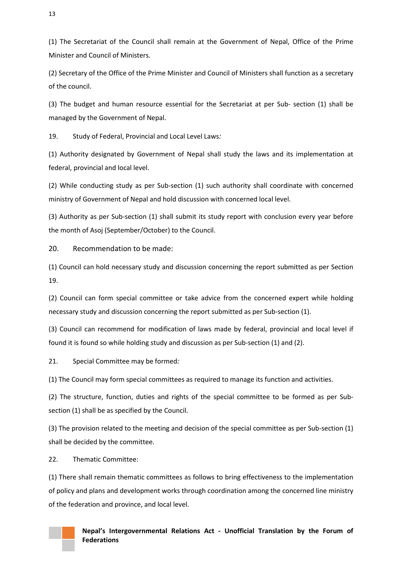(1) The Secretariat of the Council shall remain at the Government of Nepal, Office of the Prime Minister and Council of Ministers.

(2) Secretary of the Office of the Prime Minister and Council of Ministers shall function as a secretary of the council.

(3) The budget and human resource essential for the Secretariat at per Sub- section (1) shall be managed by the Government of Nepal.

<span id="page-13-0"></span>19. Study of Federal, Provincial and Local Level Laws*:* 

(1) Authority designated by Government of Nepal shall study the laws and its implementation at federal, provincial and local level.

(2) While conducting study as per Sub-section (1) such authority shall coordinate with concerned ministry of Government of Nepal and hold discussion with concerned local level.

(3) Authority as per Sub-section (1) shall submit its study report with conclusion every year before the month of Asoj (September/October) to the Council.

<span id="page-13-1"></span>20. Recommendation to be made:

(1) Council can hold necessary study and discussion concerning the report submitted as per Section 19.

(2) Council can form special committee or take advice from the concerned expert while holding necessary study and discussion concerning the report submitted as per Sub-section (1).

(3) Council can recommend for modification of laws made by federal, provincial and local level if found it is found so while holding study and discussion as per Sub-section (1) and (2).

<span id="page-13-2"></span>21. Special Committee may be formed*:* 

(1) The Council may form special committees as required to manage its function and activities.

(2) The structure, function, duties and rights of the special committee to be formed as per Subsection (1) shall be as specified by the Council.

(3) The provision related to the meeting and decision of the special committee as per Sub-section (1) shall be decided by the committee.

<span id="page-13-3"></span>22. Thematic Committee:

(1) There shall remain thematic committees as follows to bring effectiveness to the implementation of policy and plans and development works through coordination among the concerned line ministry of the federation and province, and local level.

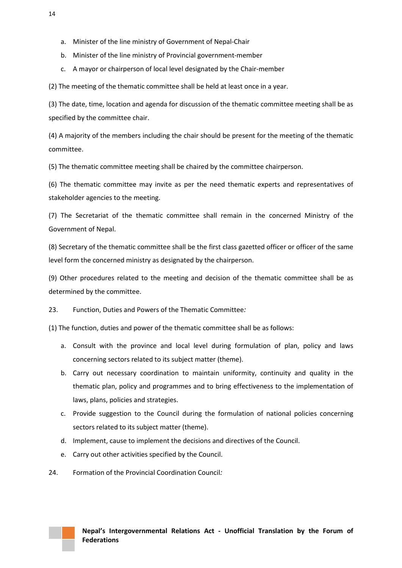- a. Minister of the line ministry of Government of Nepal-Chair
- b. Minister of the line ministry of Provincial government-member
- c. A mayor or chairperson of local level designated by the Chair-member

(2) The meeting of the thematic committee shall be held at least once in a year.

(3) The date, time, location and agenda for discussion of the thematic committee meeting shall be as specified by the committee chair.

(4) A majority of the members including the chair should be present for the meeting of the thematic committee.

(5) The thematic committee meeting shall be chaired by the committee chairperson.

(6) The thematic committee may invite as per the need thematic experts and representatives of stakeholder agencies to the meeting.

(7) The Secretariat of the thematic committee shall remain in the concerned Ministry of the Government of Nepal.

(8) Secretary of the thematic committee shall be the first class gazetted officer or officer of the same level form the concerned ministry as designated by the chairperson.

(9) Other procedures related to the meeting and decision of the thematic committee shall be as determined by the committee.

<span id="page-14-0"></span>23. Function, Duties and Powers of the Thematic Committee*:* 

(1) The function, duties and power of the thematic committee shall be as follows:

- a. Consult with the province and local level during formulation of plan, policy and laws concerning sectors related to its subject matter (theme).
- b. Carry out necessary coordination to maintain uniformity, continuity and quality in the thematic plan, policy and programmes and to bring effectiveness to the implementation of laws, plans, policies and strategies.
- c. Provide suggestion to the Council during the formulation of national policies concerning sectors related to its subject matter (theme).
- d. Implement, cause to implement the decisions and directives of the Council.
- e. Carry out other activities specified by the Council.
- <span id="page-14-1"></span>24. Formation of the Provincial Coordination Council*:*

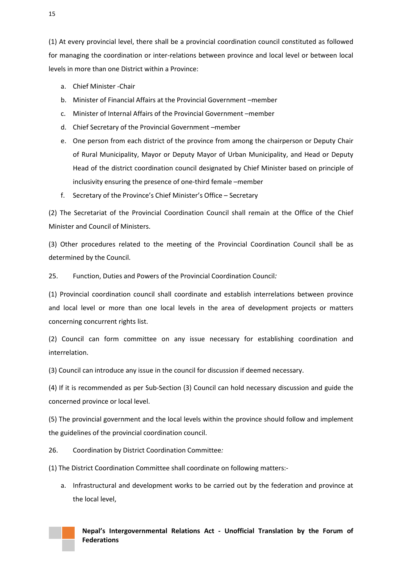(1) At every provincial level, there shall be a provincial coordination council constituted as followed for managing the coordination or inter-relations between province and local level or between local levels in more than one District within a Province:

- a. Chief Minister -Chair
- b. Minister of Financial Affairs at the Provincial Government –member
- c. Minister of Internal Affairs of the Provincial Government –member
- d. Chief Secretary of the Provincial Government –member
- e. One person from each district of the province from among the chairperson or Deputy Chair of Rural Municipality, Mayor or Deputy Mayor of Urban Municipality, and Head or Deputy Head of the district coordination council designated by Chief Minister based on principle of inclusivity ensuring the presence of one-third female –member
- f. Secretary of the Province's Chief Minister's Office Secretary

(2) The Secretariat of the Provincial Coordination Council shall remain at the Office of the Chief Minister and Council of Ministers.

(3) Other procedures related to the meeting of the Provincial Coordination Council shall be as determined by the Council.

<span id="page-15-0"></span>25. Function, Duties and Powers of the Provincial Coordination Council*:*

(1) Provincial coordination council shall coordinate and establish interrelations between province and local level or more than one local levels in the area of development projects or matters concerning concurrent rights list.

(2) Council can form committee on any issue necessary for establishing coordination and interrelation.

(3) Council can introduce any issue in the council for discussion if deemed necessary.

(4) If it is recommended as per Sub-Section (3) Council can hold necessary discussion and guide the concerned province or local level.

(5) The provincial government and the local levels within the province should follow and implement the guidelines of the provincial coordination council.

<span id="page-15-1"></span>26. Coordination by District Coordination Committee*:* 

(1) The District Coordination Committee shall coordinate on following matters:-

a. Infrastructural and development works to be carried out by the federation and province at the local level,

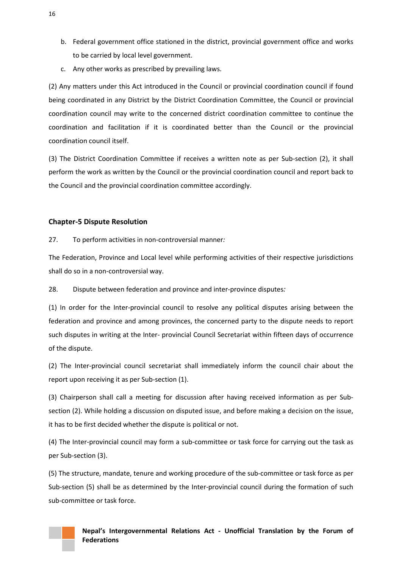- b. Federal government office stationed in the district, provincial government office and works to be carried by local level government.
- c. Any other works as prescribed by prevailing laws.

(2) Any matters under this Act introduced in the Council or provincial coordination council if found being coordinated in any District by the District Coordination Committee, the Council or provincial coordination council may write to the concerned district coordination committee to continue the coordination and facilitation if it is coordinated better than the Council or the provincial coordination council itself.

(3) The District Coordination Committee if receives a written note as per Sub-section (2), it shall perform the work as written by the Council or the provincial coordination council and report back to the Council and the provincial coordination committee accordingly.

### <span id="page-16-0"></span>**Chapter-5 Dispute Resolution**

<span id="page-16-1"></span>27. To perform activities in non-controversial manner*:* 

The Federation, Province and Local level while performing activities of their respective jurisdictions shall do so in a non-controversial way.

<span id="page-16-2"></span>28. Dispute between federation and province and inter-province disputes*:* 

(1) In order for the Inter-provincial council to resolve any political disputes arising between the federation and province and among provinces, the concerned party to the dispute needs to report such disputes in writing at the Inter- provincial Council Secretariat within fifteen days of occurrence of the dispute.

(2) The Inter-provincial council secretariat shall immediately inform the council chair about the report upon receiving it as per Sub-section (1).

(3) Chairperson shall call a meeting for discussion after having received information as per Subsection (2). While holding a discussion on disputed issue, and before making a decision on the issue, it has to be first decided whether the dispute is political or not.

(4) The Inter-provincial council may form a sub-committee or task force for carrying out the task as per Sub-section (3).

(5) The structure, mandate, tenure and working procedure of the sub-committee or task force as per Sub-section (5) shall be as determined by the Inter-provincial council during the formation of such sub-committee or task force.

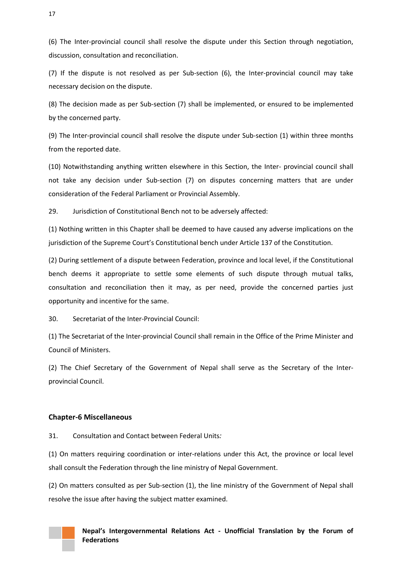(6) The Inter-provincial council shall resolve the dispute under this Section through negotiation, discussion, consultation and reconciliation.

(7) If the dispute is not resolved as per Sub-section (6), the Inter-provincial council may take necessary decision on the dispute.

(8) The decision made as per Sub-section (7) shall be implemented, or ensured to be implemented by the concerned party.

(9) The Inter-provincial council shall resolve the dispute under Sub-section (1) within three months from the reported date.

(10) Notwithstanding anything written elsewhere in this Section, the Inter- provincial council shall not take any decision under Sub-section (7) on disputes concerning matters that are under consideration of the Federal Parliament or Provincial Assembly.

<span id="page-17-0"></span>29. Jurisdiction of Constitutional Bench not to be adversely affected:

(1) Nothing written in this Chapter shall be deemed to have caused any adverse implications on the jurisdiction of the Supreme Court's Constitutional bench under Article 137 of the Constitution.

(2) During settlement of a dispute between Federation, province and local level, if the Constitutional bench deems it appropriate to settle some elements of such dispute through mutual talks, consultation and reconciliation then it may, as per need, provide the concerned parties just opportunity and incentive for the same.

<span id="page-17-1"></span>30. Secretariat of the Inter-Provincial Council:

(1) The Secretariat of the Inter-provincial Council shall remain in the Office of the Prime Minister and Council of Ministers.

(2) The Chief Secretary of the Government of Nepal shall serve as the Secretary of the Interprovincial Council.

#### <span id="page-17-2"></span>**Chapter-6 Miscellaneous**

<span id="page-17-3"></span>31. Consultation and Contact between Federal Units*:* 

(1) On matters requiring coordination or inter-relations under this Act, the province or local level shall consult the Federation through the line ministry of Nepal Government.

(2) On matters consulted as per Sub-section (1), the line ministry of the Government of Nepal shall resolve the issue after having the subject matter examined.